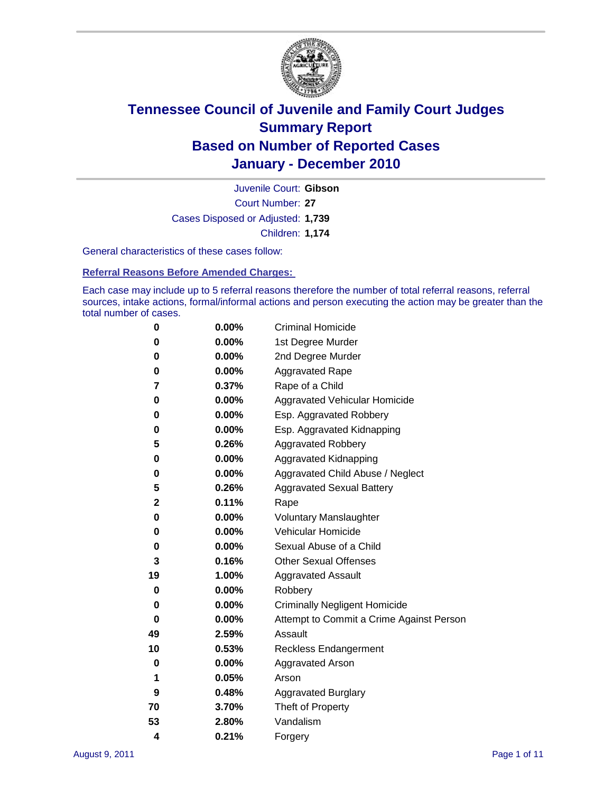

Court Number: **27** Juvenile Court: **Gibson** Cases Disposed or Adjusted: **1,739** Children: **1,174**

General characteristics of these cases follow:

**Referral Reasons Before Amended Charges:** 

Each case may include up to 5 referral reasons therefore the number of total referral reasons, referral sources, intake actions, formal/informal actions and person executing the action may be greater than the total number of cases.

| 0  | 0.00%    | <b>Criminal Homicide</b>                 |
|----|----------|------------------------------------------|
| 0  | 0.00%    | 1st Degree Murder                        |
| 0  | 0.00%    | 2nd Degree Murder                        |
| 0  | 0.00%    | <b>Aggravated Rape</b>                   |
| 7  | 0.37%    | Rape of a Child                          |
| 0  | 0.00%    | Aggravated Vehicular Homicide            |
| 0  | 0.00%    | Esp. Aggravated Robbery                  |
| 0  | 0.00%    | Esp. Aggravated Kidnapping               |
| 5  | 0.26%    | <b>Aggravated Robbery</b>                |
| 0  | 0.00%    | Aggravated Kidnapping                    |
| 0  | 0.00%    | Aggravated Child Abuse / Neglect         |
| 5  | 0.26%    | <b>Aggravated Sexual Battery</b>         |
| 2  | 0.11%    | Rape                                     |
| 0  | 0.00%    | <b>Voluntary Manslaughter</b>            |
| 0  | 0.00%    | Vehicular Homicide                       |
| 0  | 0.00%    | Sexual Abuse of a Child                  |
| 3  | 0.16%    | <b>Other Sexual Offenses</b>             |
| 19 | 1.00%    | <b>Aggravated Assault</b>                |
| 0  | $0.00\%$ | Robbery                                  |
| 0  | 0.00%    | <b>Criminally Negligent Homicide</b>     |
| 0  | 0.00%    | Attempt to Commit a Crime Against Person |
| 49 | 2.59%    | Assault                                  |
| 10 | 0.53%    | <b>Reckless Endangerment</b>             |
| 0  | 0.00%    | <b>Aggravated Arson</b>                  |
| 1  | 0.05%    | Arson                                    |
| 9  | 0.48%    | <b>Aggravated Burglary</b>               |
| 70 | 3.70%    | Theft of Property                        |
| 53 | 2.80%    | Vandalism                                |
| 4  | 0.21%    | Forgery                                  |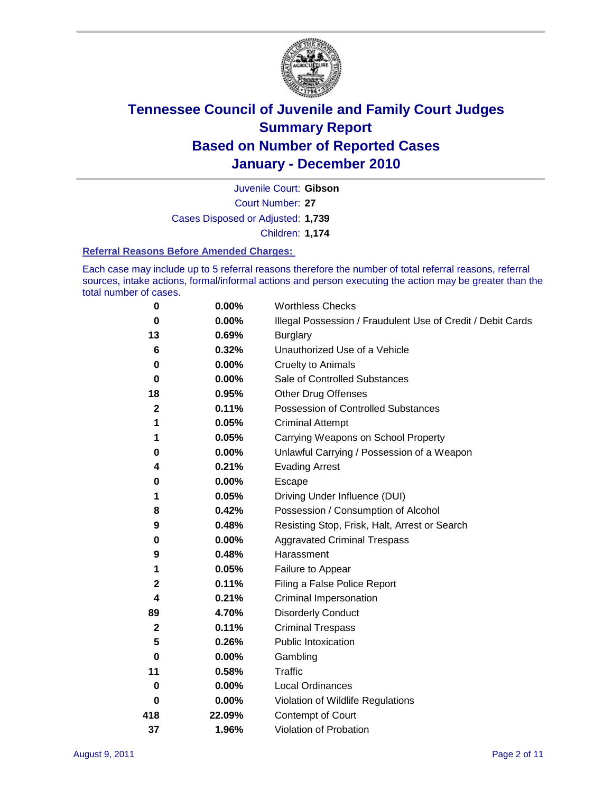

Court Number: **27** Juvenile Court: **Gibson** Cases Disposed or Adjusted: **1,739** Children: **1,174**

#### **Referral Reasons Before Amended Charges:**

Each case may include up to 5 referral reasons therefore the number of total referral reasons, referral sources, intake actions, formal/informal actions and person executing the action may be greater than the total number of cases.

| $\pmb{0}$    | 0.00%    | <b>Worthless Checks</b>                                     |
|--------------|----------|-------------------------------------------------------------|
| 0            | 0.00%    | Illegal Possession / Fraudulent Use of Credit / Debit Cards |
| 13           | 0.69%    | <b>Burglary</b>                                             |
| 6            | 0.32%    | Unauthorized Use of a Vehicle                               |
| 0            | $0.00\%$ | <b>Cruelty to Animals</b>                                   |
| $\bf{0}$     | 0.00%    | Sale of Controlled Substances                               |
| 18           | 0.95%    | <b>Other Drug Offenses</b>                                  |
| $\mathbf{2}$ | 0.11%    | Possession of Controlled Substances                         |
| 1            | 0.05%    | <b>Criminal Attempt</b>                                     |
| 1            | 0.05%    | Carrying Weapons on School Property                         |
| 0            | 0.00%    | Unlawful Carrying / Possession of a Weapon                  |
| 4            | 0.21%    | <b>Evading Arrest</b>                                       |
| 0            | 0.00%    | Escape                                                      |
| 1            | 0.05%    | Driving Under Influence (DUI)                               |
| 8            | 0.42%    | Possession / Consumption of Alcohol                         |
| 9            | 0.48%    | Resisting Stop, Frisk, Halt, Arrest or Search               |
| 0            | $0.00\%$ | <b>Aggravated Criminal Trespass</b>                         |
| 9            | 0.48%    | Harassment                                                  |
| 1            | 0.05%    | Failure to Appear                                           |
| $\mathbf 2$  | 0.11%    | Filing a False Police Report                                |
| 4            | 0.21%    | Criminal Impersonation                                      |
| 89           | 4.70%    | <b>Disorderly Conduct</b>                                   |
| $\mathbf 2$  | 0.11%    | <b>Criminal Trespass</b>                                    |
| 5            | 0.26%    | <b>Public Intoxication</b>                                  |
| 0            | $0.00\%$ | Gambling                                                    |
| 11           | 0.58%    | Traffic                                                     |
| 0            | $0.00\%$ | Local Ordinances                                            |
| 0            | 0.00%    | Violation of Wildlife Regulations                           |
| 418          | 22.09%   | Contempt of Court                                           |
| 37           | 1.96%    | Violation of Probation                                      |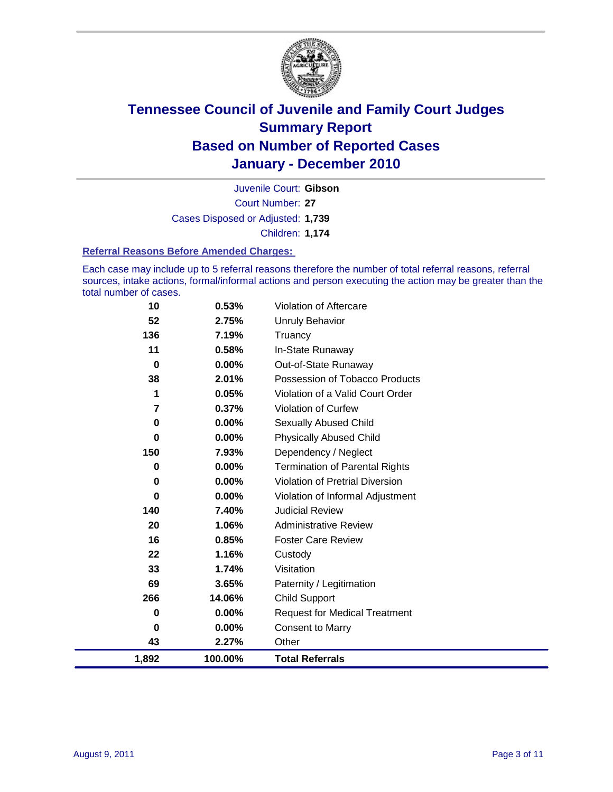

Court Number: **27** Juvenile Court: **Gibson** Cases Disposed or Adjusted: **1,739** Children: **1,174**

#### **Referral Reasons Before Amended Charges:**

Each case may include up to 5 referral reasons therefore the number of total referral reasons, referral sources, intake actions, formal/informal actions and person executing the action may be greater than the total number of cases.

| 10    | 0.53%    | Violation of Aftercare                 |
|-------|----------|----------------------------------------|
| 52    | 2.75%    | <b>Unruly Behavior</b>                 |
| 136   | 7.19%    | Truancy                                |
| 11    | 0.58%    | In-State Runaway                       |
| 0     | $0.00\%$ | Out-of-State Runaway                   |
| 38    | 2.01%    | Possession of Tobacco Products         |
| 1     | 0.05%    | Violation of a Valid Court Order       |
| 7     | 0.37%    | <b>Violation of Curfew</b>             |
| 0     | 0.00%    | Sexually Abused Child                  |
| 0     | 0.00%    | <b>Physically Abused Child</b>         |
| 150   | 7.93%    | Dependency / Neglect                   |
| 0     | 0.00%    | <b>Termination of Parental Rights</b>  |
| 0     | 0.00%    | <b>Violation of Pretrial Diversion</b> |
| 0     | $0.00\%$ | Violation of Informal Adjustment       |
| 140   | 7.40%    | <b>Judicial Review</b>                 |
| 20    | 1.06%    | <b>Administrative Review</b>           |
| 16    | 0.85%    | <b>Foster Care Review</b>              |
| 22    | 1.16%    | Custody                                |
| 33    | 1.74%    | Visitation                             |
| 69    | 3.65%    | Paternity / Legitimation               |
| 266   | 14.06%   | <b>Child Support</b>                   |
| 0     | $0.00\%$ | <b>Request for Medical Treatment</b>   |
| 0     | $0.00\%$ | <b>Consent to Marry</b>                |
| 43    | 2.27%    | Other                                  |
| 1,892 | 100.00%  | <b>Total Referrals</b>                 |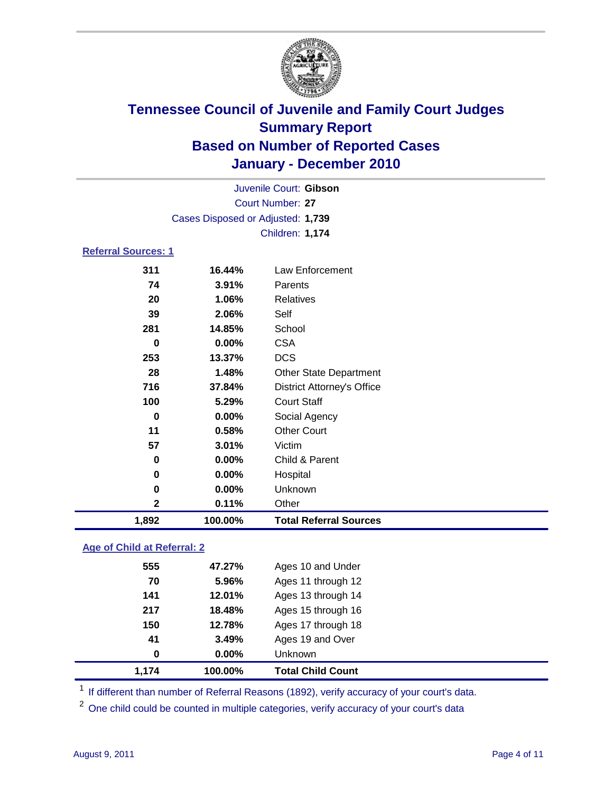

| 1,892                      | 100.00%                           | <b>Total Referral Sources</b>     |  |
|----------------------------|-----------------------------------|-----------------------------------|--|
| $\mathbf 2$                | 0.11%                             | Other                             |  |
| $\bf{0}$                   | 0.00%                             | Unknown                           |  |
| 0                          | 0.00%                             | Hospital                          |  |
| 0                          | 0.00%                             | Child & Parent                    |  |
| 57                         | 3.01%                             | Victim                            |  |
| 11                         | 0.58%                             | <b>Other Court</b>                |  |
| $\mathbf 0$                | 0.00%                             | Social Agency                     |  |
| 100                        | 5.29%                             | <b>Court Staff</b>                |  |
| 716                        | 37.84%                            | <b>District Attorney's Office</b> |  |
| 28                         | 1.48%                             | Other State Department            |  |
| 253                        | 13.37%                            | <b>DCS</b>                        |  |
| $\bf{0}$                   | 0.00%                             | <b>CSA</b>                        |  |
| 281                        | 14.85%                            | School                            |  |
| 39                         | 2.06%                             | Self                              |  |
| 20                         | 1.06%                             | <b>Relatives</b>                  |  |
| 74                         | 3.91%                             | Parents                           |  |
| 311                        | 16.44%                            | Law Enforcement                   |  |
| <b>Referral Sources: 1</b> |                                   |                                   |  |
|                            |                                   | Children: 1,174                   |  |
|                            | Cases Disposed or Adjusted: 1,739 |                                   |  |
|                            |                                   | <b>Court Number: 27</b>           |  |
|                            |                                   | Juvenile Court: Gibson            |  |
|                            |                                   |                                   |  |

### **Age of Child at Referral: 2**

| 1.174 | 100.00% | <b>Total Child Count</b> |
|-------|---------|--------------------------|
| 0     | 0.00%   | <b>Unknown</b>           |
| 41    | 3.49%   | Ages 19 and Over         |
| 150   | 12.78%  | Ages 17 through 18       |
| 217   | 18.48%  | Ages 15 through 16       |
| 141   | 12.01%  | Ages 13 through 14       |
| 70    | 5.96%   | Ages 11 through 12       |
| 555   | 47.27%  | Ages 10 and Under        |
|       |         |                          |

<sup>1</sup> If different than number of Referral Reasons (1892), verify accuracy of your court's data.

<sup>2</sup> One child could be counted in multiple categories, verify accuracy of your court's data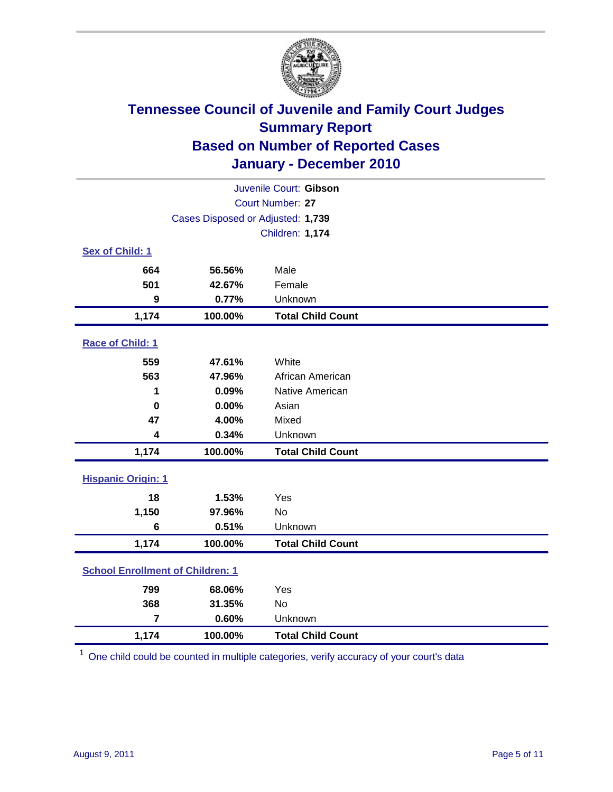

| Juvenile Court: Gibson                  |                                   |                          |  |  |  |
|-----------------------------------------|-----------------------------------|--------------------------|--|--|--|
|                                         | Court Number: 27                  |                          |  |  |  |
|                                         | Cases Disposed or Adjusted: 1,739 |                          |  |  |  |
|                                         |                                   | <b>Children: 1,174</b>   |  |  |  |
| Sex of Child: 1                         |                                   |                          |  |  |  |
| 664                                     | 56.56%                            | Male                     |  |  |  |
| 501                                     | 42.67%                            | Female                   |  |  |  |
| $\boldsymbol{9}$                        | 0.77%                             | Unknown                  |  |  |  |
| 1,174                                   | 100.00%                           | <b>Total Child Count</b> |  |  |  |
| Race of Child: 1                        |                                   |                          |  |  |  |
| 559                                     | 47.61%                            | White                    |  |  |  |
| 563                                     | 47.96%                            | African American         |  |  |  |
| 1                                       | 0.09%                             | Native American          |  |  |  |
| $\mathbf 0$                             | 0.00%                             | Asian                    |  |  |  |
| 47                                      | 4.00%                             | Mixed                    |  |  |  |
| $\overline{\mathbf{4}}$                 | 0.34%                             | Unknown                  |  |  |  |
| 1,174                                   | 100.00%                           | <b>Total Child Count</b> |  |  |  |
| <b>Hispanic Origin: 1</b>               |                                   |                          |  |  |  |
| 18                                      | 1.53%                             | Yes                      |  |  |  |
| 1,150                                   | 97.96%                            | No                       |  |  |  |
| 6                                       | 0.51%                             | Unknown                  |  |  |  |
| 1,174                                   | 100.00%                           | <b>Total Child Count</b> |  |  |  |
| <b>School Enrollment of Children: 1</b> |                                   |                          |  |  |  |
| 799                                     | 68.06%                            | Yes                      |  |  |  |
| 368                                     | 31.35%                            | <b>No</b>                |  |  |  |
| $\overline{7}$                          | 0.60%                             | Unknown                  |  |  |  |
| 1,174                                   | 100.00%                           | <b>Total Child Count</b> |  |  |  |

<sup>1</sup> One child could be counted in multiple categories, verify accuracy of your court's data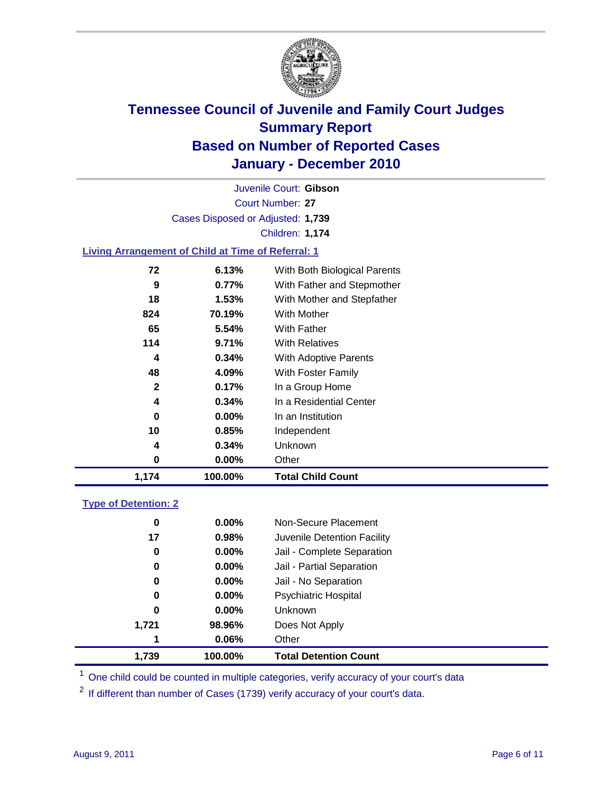

Court Number: **27** Juvenile Court: **Gibson** Cases Disposed or Adjusted: **1,739** Children: **1,174**

### **Living Arrangement of Child at Time of Referral: 1**

| 1,174 | 100.00%  | <b>Total Child Count</b>     |
|-------|----------|------------------------------|
| 0     | 0.00%    | Other                        |
| 4     | 0.34%    | Unknown                      |
| 10    | 0.85%    | Independent                  |
| 0     | $0.00\%$ | In an Institution            |
| 4     | 0.34%    | In a Residential Center      |
| 2     | 0.17%    | In a Group Home              |
| 48    | 4.09%    | With Foster Family           |
| 4     | 0.34%    | With Adoptive Parents        |
| 114   | 9.71%    | <b>With Relatives</b>        |
| 65    | 5.54%    | <b>With Father</b>           |
| 824   | 70.19%   | <b>With Mother</b>           |
| 18    | 1.53%    | With Mother and Stepfather   |
| 9     | $0.77\%$ | With Father and Stepmother   |
| 72    | 6.13%    | With Both Biological Parents |
|       |          |                              |

### **Type of Detention: 2**

| 1.739 | 100.00%  | <b>Total Detention Count</b> |  |
|-------|----------|------------------------------|--|
| 1     | 0.06%    | Other                        |  |
| 1,721 | 98.96%   | Does Not Apply               |  |
| 0     | $0.00\%$ | <b>Unknown</b>               |  |
| 0     | $0.00\%$ | Psychiatric Hospital         |  |
| 0     | 0.00%    | Jail - No Separation         |  |
| 0     | $0.00\%$ | Jail - Partial Separation    |  |
| 0     | 0.00%    | Jail - Complete Separation   |  |
| 17    | 0.98%    | Juvenile Detention Facility  |  |
| 0     | $0.00\%$ | Non-Secure Placement         |  |
|       |          |                              |  |

<sup>1</sup> One child could be counted in multiple categories, verify accuracy of your court's data

<sup>2</sup> If different than number of Cases (1739) verify accuracy of your court's data.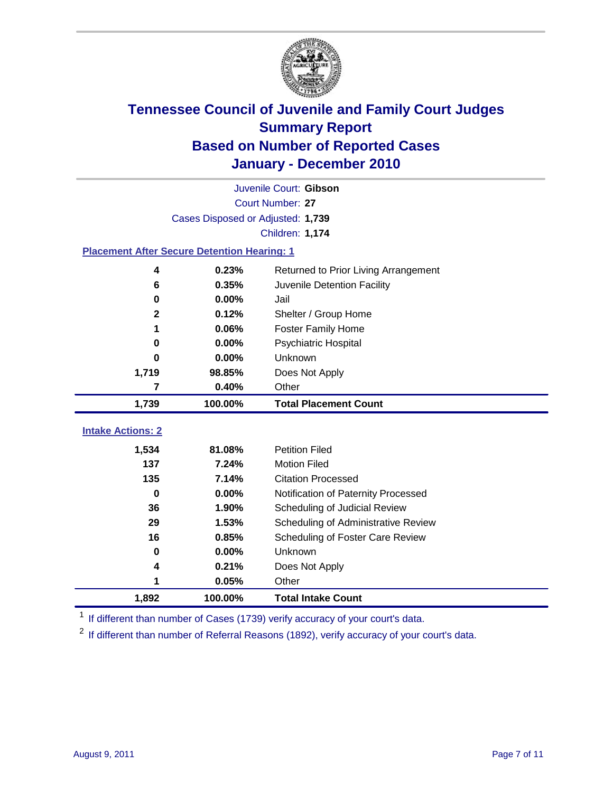

|                                                    | Juvenile Court: Gibson            |                                      |  |  |  |
|----------------------------------------------------|-----------------------------------|--------------------------------------|--|--|--|
|                                                    | <b>Court Number: 27</b>           |                                      |  |  |  |
|                                                    | Cases Disposed or Adjusted: 1,739 |                                      |  |  |  |
|                                                    |                                   | <b>Children: 1,174</b>               |  |  |  |
| <b>Placement After Secure Detention Hearing: 1</b> |                                   |                                      |  |  |  |
| 4                                                  | 0.23%                             | Returned to Prior Living Arrangement |  |  |  |
| 6                                                  | 0.35%                             | Juvenile Detention Facility          |  |  |  |
| $\bf{0}$                                           | 0.00%                             | Jail                                 |  |  |  |
| $\mathbf{2}$                                       | 0.12%                             | Shelter / Group Home                 |  |  |  |
| 1                                                  | 0.06%                             | Foster Family Home                   |  |  |  |
| 0                                                  | 0.00%                             | Psychiatric Hospital                 |  |  |  |
| 0                                                  | 0.00%                             | Unknown                              |  |  |  |
| 1,719                                              | 98.85%                            | Does Not Apply                       |  |  |  |
| 7                                                  | 0.40%                             | Other                                |  |  |  |
| 1,739                                              | 100.00%                           | <b>Total Placement Count</b>         |  |  |  |
| <b>Intake Actions: 2</b>                           |                                   |                                      |  |  |  |
|                                                    |                                   |                                      |  |  |  |
| 1,534                                              | 81.08%                            | <b>Petition Filed</b>                |  |  |  |
| 137                                                | 7.24%                             | <b>Motion Filed</b>                  |  |  |  |
| 135                                                | 7.14%                             | <b>Citation Processed</b>            |  |  |  |
| $\bf{0}$                                           | 0.00%                             | Notification of Paternity Processed  |  |  |  |
| 36                                                 | 1.90%                             | Scheduling of Judicial Review        |  |  |  |
| 29                                                 | 1.53%                             | Scheduling of Administrative Review  |  |  |  |
| 16                                                 | 0.85%                             | Scheduling of Foster Care Review     |  |  |  |
| 0                                                  | 0.00%                             | Unknown                              |  |  |  |
| 4                                                  | 0.21%                             | Does Not Apply                       |  |  |  |
| 1                                                  | 0.05%                             | Other                                |  |  |  |
| 1,892                                              | 100.00%                           | <b>Total Intake Count</b>            |  |  |  |

<sup>1</sup> If different than number of Cases (1739) verify accuracy of your court's data.

<sup>2</sup> If different than number of Referral Reasons (1892), verify accuracy of your court's data.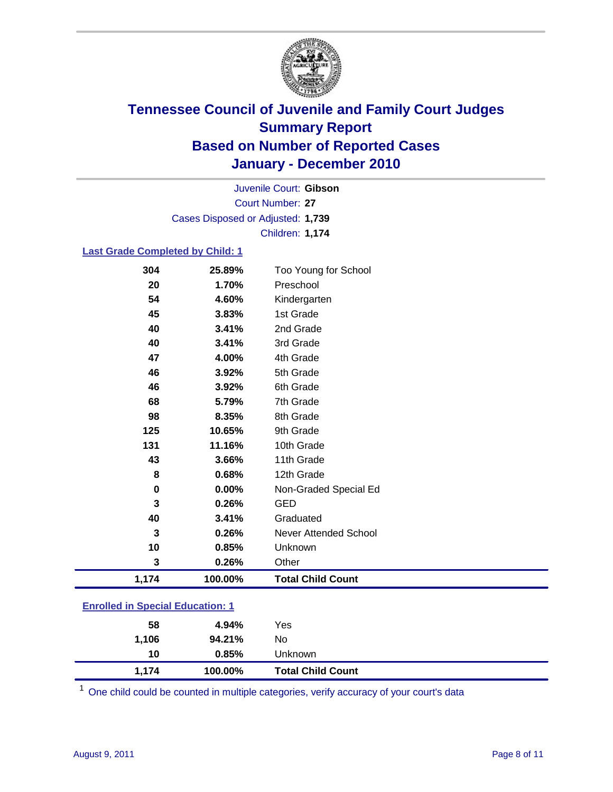

Court Number: **27** Juvenile Court: **Gibson** Cases Disposed or Adjusted: **1,739** Children: **1,174**

#### **Last Grade Completed by Child: 1**

| 304                                     | 25.89%  | Too Young for School         |  |
|-----------------------------------------|---------|------------------------------|--|
| 20                                      | 1.70%   | Preschool                    |  |
| 54                                      | 4.60%   | Kindergarten                 |  |
| 45                                      | 3.83%   | 1st Grade                    |  |
| 40                                      | 3.41%   | 2nd Grade                    |  |
| 40                                      | 3.41%   | 3rd Grade                    |  |
| 47                                      | 4.00%   | 4th Grade                    |  |
| 46                                      | 3.92%   | 5th Grade                    |  |
| 46                                      | 3.92%   | 6th Grade                    |  |
| 68                                      | 5.79%   | 7th Grade                    |  |
| 98                                      | 8.35%   | 8th Grade                    |  |
| 125                                     | 10.65%  | 9th Grade                    |  |
| 131                                     | 11.16%  | 10th Grade                   |  |
| 43                                      | 3.66%   | 11th Grade                   |  |
| 8                                       | 0.68%   | 12th Grade                   |  |
| $\mathbf 0$                             | 0.00%   | Non-Graded Special Ed        |  |
| 3                                       | 0.26%   | <b>GED</b>                   |  |
| 40                                      | 3.41%   | Graduated                    |  |
| 3                                       | 0.26%   | <b>Never Attended School</b> |  |
| 10                                      | 0.85%   | Unknown                      |  |
| 3                                       | 0.26%   | Other                        |  |
| 1,174                                   | 100.00% | <b>Total Child Count</b>     |  |
| <b>Enrolled in Special Education: 1</b> |         |                              |  |

| 1,174 | 100.00% | <b>Total Child Count</b> |
|-------|---------|--------------------------|
| 10    | 0.85%   | Unknown                  |
| 1,106 | 94.21%  | No                       |
| 58    | 4.94%   | Yes                      |
|       |         |                          |

One child could be counted in multiple categories, verify accuracy of your court's data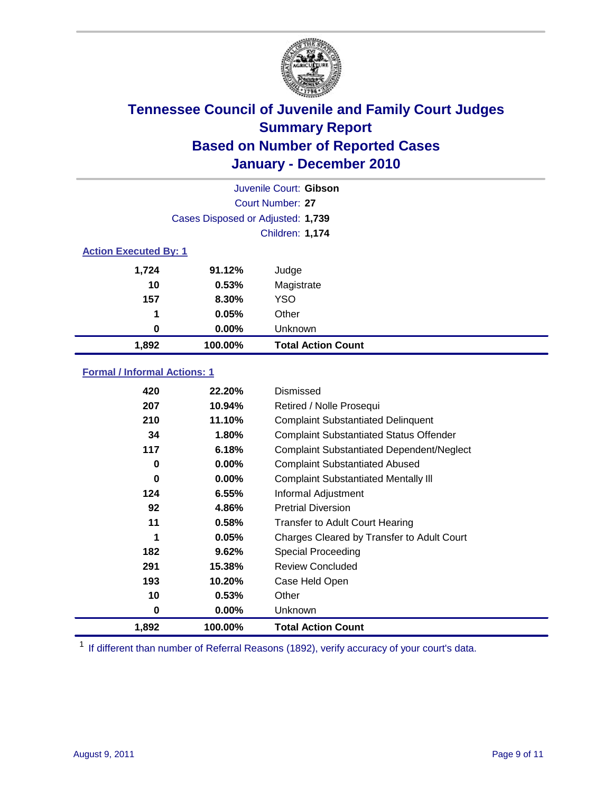

| Juvenile Court: Gibson       |                                   |                           |  |  |  |
|------------------------------|-----------------------------------|---------------------------|--|--|--|
|                              | Court Number: 27                  |                           |  |  |  |
|                              | Cases Disposed or Adjusted: 1,739 |                           |  |  |  |
|                              | <b>Children: 1,174</b>            |                           |  |  |  |
| <b>Action Executed By: 1</b> |                                   |                           |  |  |  |
| 1,724                        | 91.12%                            | Judge                     |  |  |  |
| 10                           | 0.53%                             | Magistrate                |  |  |  |
| 157                          | 8.30%                             | <b>YSO</b>                |  |  |  |
| 1                            | 0.05%                             | Other                     |  |  |  |
| 0                            | 0.00%                             | Unknown                   |  |  |  |
| 1,892                        | 100.00%                           | <b>Total Action Count</b> |  |  |  |

### **Formal / Informal Actions: 1**

| 420   | 22.20%   | Dismissed                                        |
|-------|----------|--------------------------------------------------|
| 207   | 10.94%   | Retired / Nolle Prosequi                         |
| 210   | 11.10%   | <b>Complaint Substantiated Delinquent</b>        |
| 34    | 1.80%    | <b>Complaint Substantiated Status Offender</b>   |
| 117   | 6.18%    | <b>Complaint Substantiated Dependent/Neglect</b> |
| 0     | $0.00\%$ | <b>Complaint Substantiated Abused</b>            |
| 0     | $0.00\%$ | <b>Complaint Substantiated Mentally III</b>      |
| 124   | 6.55%    | Informal Adjustment                              |
| 92    | 4.86%    | <b>Pretrial Diversion</b>                        |
| 11    | 0.58%    | <b>Transfer to Adult Court Hearing</b>           |
| 1     | 0.05%    | Charges Cleared by Transfer to Adult Court       |
| 182   | 9.62%    | <b>Special Proceeding</b>                        |
| 291   | 15.38%   | <b>Review Concluded</b>                          |
| 193   | 10.20%   | Case Held Open                                   |
| 10    | 0.53%    | Other                                            |
| 0     | $0.00\%$ | <b>Unknown</b>                                   |
| 1,892 | 100.00%  | <b>Total Action Count</b>                        |

<sup>1</sup> If different than number of Referral Reasons (1892), verify accuracy of your court's data.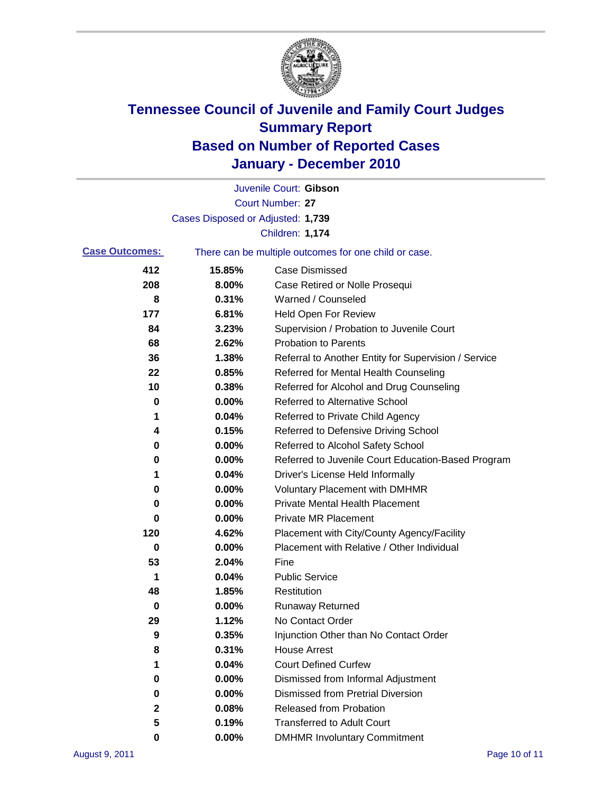

|                       |                                   | Juvenile Court: Gibson                                |
|-----------------------|-----------------------------------|-------------------------------------------------------|
|                       |                                   | Court Number: 27                                      |
|                       | Cases Disposed or Adjusted: 1,739 |                                                       |
|                       |                                   | Children: 1,174                                       |
| <b>Case Outcomes:</b> |                                   | There can be multiple outcomes for one child or case. |
| 412                   | 15.85%                            | <b>Case Dismissed</b>                                 |
| 208                   | 8.00%                             | Case Retired or Nolle Prosequi                        |
| 8                     | 0.31%                             | Warned / Counseled                                    |
| 177                   | 6.81%                             | <b>Held Open For Review</b>                           |
| 84                    | 3.23%                             | Supervision / Probation to Juvenile Court             |
| 68                    | 2.62%                             | <b>Probation to Parents</b>                           |
| 36                    | 1.38%                             | Referral to Another Entity for Supervision / Service  |
| 22                    | 0.85%                             | Referred for Mental Health Counseling                 |
| 10                    | 0.38%                             | Referred for Alcohol and Drug Counseling              |
| 0                     | 0.00%                             | <b>Referred to Alternative School</b>                 |
| 1                     | 0.04%                             | Referred to Private Child Agency                      |
| 4                     | 0.15%                             | Referred to Defensive Driving School                  |
| 0                     | 0.00%                             | Referred to Alcohol Safety School                     |
| 0                     | 0.00%                             | Referred to Juvenile Court Education-Based Program    |
| 1                     | 0.04%                             | Driver's License Held Informally                      |
| 0                     | 0.00%                             | <b>Voluntary Placement with DMHMR</b>                 |
| 0                     | 0.00%                             | <b>Private Mental Health Placement</b>                |
| 0                     | 0.00%                             | <b>Private MR Placement</b>                           |
| 120                   | 4.62%                             | Placement with City/County Agency/Facility            |
| 0                     | 0.00%                             | Placement with Relative / Other Individual            |
| 53                    | 2.04%                             | Fine                                                  |
| 1                     | 0.04%                             | <b>Public Service</b>                                 |
| 48                    | 1.85%                             | Restitution                                           |
| 0                     | 0.00%                             | <b>Runaway Returned</b>                               |
| 29                    | 1.12%                             | No Contact Order                                      |
| 9                     | 0.35%                             | Injunction Other than No Contact Order                |
| 8                     | 0.31%                             | <b>House Arrest</b>                                   |
| 1                     | 0.04%                             | <b>Court Defined Curfew</b>                           |
| 0                     | 0.00%                             | Dismissed from Informal Adjustment                    |
| 0                     | 0.00%                             | <b>Dismissed from Pretrial Diversion</b>              |
| 2                     | 0.08%                             | Released from Probation                               |
| 5                     | 0.19%                             | <b>Transferred to Adult Court</b>                     |
| 0                     | $0.00\%$                          | <b>DMHMR Involuntary Commitment</b>                   |